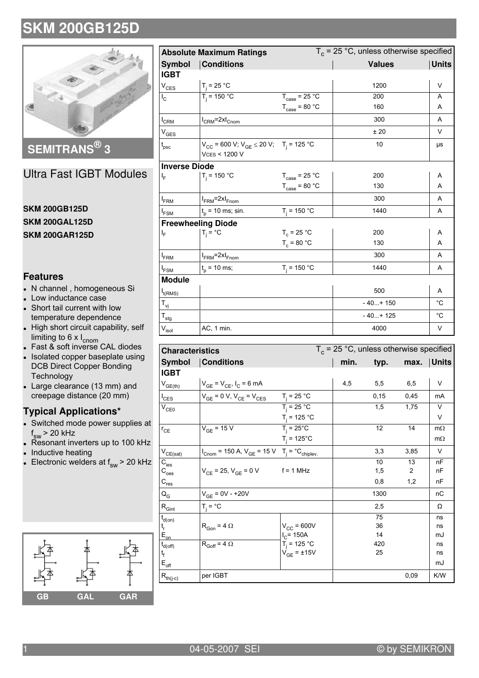

SEMITRANS<sup>®</sup> 3

**Ultra Fast IGBT Modules** 

#### **SKM 200GB125D SKM 200GAL125D SKM 200GAR125D**

#### **Features**

- N channel, homogeneous Si
- Low inductance case
- Short tail current with low temperature dependence
- High short circuit capability, self limiting to 6 x  $I_{\text{cnom}}$ <br>• Fast & soft inverse CAL diodes
- 
- Isolated copper baseplate using  $\overline{\phantom{a}}$ **DCB Direct Copper Bonding** Technology
- Large clearance (13 mm) and creepage distance (20 mm)

### **Typical Applications\***

- Switched mode power supplies at  $f_{sw}$  > 20 kHz
- Resonant inverters up to 100 kHz
- Inductive heating
- Electronic welders at  $f_{sw}$  > 20 kHz



|                              | <b>Absolute Maximum Ratings</b>                                                            |                                   | $T_c$ = 25 °C, unless otherwise specified |              |  |
|------------------------------|--------------------------------------------------------------------------------------------|-----------------------------------|-------------------------------------------|--------------|--|
| <b>Symbol</b>                | <b>Conditions</b>                                                                          |                                   | <b>Values</b>                             |              |  |
| <b>IGBT</b>                  |                                                                                            |                                   |                                           |              |  |
| $V_{CES}$                    | $T_j = 25 °C$                                                                              |                                   | 1200                                      | $\vee$       |  |
| $I_{\rm C}$                  | $T_i = 150 °C$                                                                             | $T_{\text{case}} = 25 \text{ °C}$ | 200                                       | A            |  |
|                              |                                                                                            | $T_{\text{case}} = 80 \text{ °C}$ | 160                                       | Α            |  |
| $I_{CRM}$                    | $I_{CRM}$ =2x $I_{Cnom}$                                                                   |                                   | 300                                       | A            |  |
| $V_{\text{GES}}$             |                                                                                            |                                   | ±20                                       | $\vee$       |  |
| $\mathfrak{t}_{\rm psc}$     | $V_{CC}$ = 600 V; $V_{GE}$ $\leq$ 20 V; T <sub>i</sub> = 125 °C<br><b>VCES &lt; 1200 V</b> |                                   | 10                                        | μs           |  |
| <b>Inverse Diode</b>         |                                                                                            |                                   |                                           |              |  |
| ı.                           | $T_i = 150 °C$                                                                             | $T_{\text{case}} = 25 \text{ °C}$ | 200                                       | Α            |  |
|                              |                                                                                            | $T_{\text{case}} = 80 \text{ °C}$ | 130                                       | A            |  |
| $I_{FRM}$                    | $I_{FRM}$ =2x $I_{Fnom}$                                                                   |                                   | 300                                       | A            |  |
| $I_{FSM}$                    | $t_p$ = 10 ms; sin.                                                                        | $T_i = 150 °C$                    | 1440                                      | A            |  |
|                              | <b>Freewheeling Diode</b>                                                                  |                                   |                                           |              |  |
| ı.                           | $T_i = \degree C$                                                                          | $T_c = 25 °C$                     | 200                                       | Α            |  |
|                              |                                                                                            | $T_c = 80 °C$                     | 130                                       | A            |  |
| I <sub>FRM</sub>             | $I_{FRM}$ =2x $I_{Fnom}$                                                                   |                                   | 300                                       | A            |  |
| <sup>I</sup> FSM             | $t_{n}$ = 10 ms;                                                                           | $T_i = 150 °C$                    | 1440                                      | A            |  |
| <b>Module</b>                |                                                                                            |                                   |                                           |              |  |
| $I_{t(RMS)}$                 |                                                                                            |                                   | 500                                       | Α            |  |
| $T_{\rm vj}$                 |                                                                                            |                                   | $-40+150$                                 | $^{\circ}C$  |  |
| $\mathsf{T}_{\text{stg}}$    |                                                                                            |                                   | $-40+125$                                 | $^{\circ}$ C |  |
| $\mathsf{V}_{\mathsf{isol}}$ | AC, 1 min.                                                                                 |                                   | 4000                                      | V            |  |

| <b>Characteristics</b>                   |                                                                                            | $T_c$ = 25 °C, unless otherwise specified |      |       |      |            |
|------------------------------------------|--------------------------------------------------------------------------------------------|-------------------------------------------|------|-------|------|------------|
| Symbol                                   | <b>Conditions</b>                                                                          |                                           | min. | typ.  |      | max. Units |
| <b>IGBT</b>                              |                                                                                            |                                           |      |       |      |            |
| $V_{GE(th)}$                             | $V_{GE} = V_{CE}$ , $I_C = 6$ mA                                                           |                                           | 4,5  | 5,5   | 6,5  | V          |
| $I_{\text{CES}}$                         | $V_{GE}$ = 0 V, $V_{CE}$ = $V_{CES}$                                                       | $T_i = 25 °C$                             |      | 0, 15 | 0,45 | mA         |
| $V_{CE0}$                                |                                                                                            | $T_i = 25 °C$                             |      | 1,5   | 1,75 | V          |
|                                          |                                                                                            | $T_i = 125 °C$                            |      |       |      | V          |
| $r_{CE}$                                 | $V_{GE}$ = 15 V                                                                            | $T_i = 25^{\circ}C$                       |      | 12    | 14   | $m\Omega$  |
|                                          |                                                                                            | $T_i = 125^{\circ}C$                      |      |       |      | $m\Omega$  |
| $\mathsf{V}_{\mathsf{CE}(\mathsf{sat})}$ | $I_{\text{Cnom}}$ = 150 A, $V_{\text{GE}}$ = 15 V T <sub>j</sub> = °C <sub>chiplev</sub> . |                                           |      | 3,3   | 3,85 | $\vee$     |
| $C_{\text{ies}}$                         |                                                                                            |                                           |      | 10    | 13   | nF         |
| $\mathtt{C}_{\mathtt{oes}}$              | $V_{CE}$ = 25, $V_{GE}$ = 0 V f = 1 MHz                                                    |                                           |      | 1,5   | 2    | nF         |
| $\mathsf{C}_{\mathsf{res}}$              |                                                                                            |                                           |      | 0,8   | 1,2  | nF         |
| $\mathsf{Q}_{\mathsf{G}}$                | $V_{GE} = 0V - +20V$                                                                       |                                           |      | 1300  |      | пC         |
| $\mathsf{R}_{\mathsf{Gint}}$             | $T_i = \degree C$                                                                          |                                           |      | 2,5   |      | Ω          |
| $t_{d(on)}$                              |                                                                                            |                                           |      | 75    |      | ns         |
| t <sub>r</sub>                           | $R_{\text{Gon}} = 4 \Omega$                                                                | $V_{CC}$ = 600V                           |      | 36    |      | ns         |
| $E_{on}$                                 |                                                                                            | $I_C$ = 150A                              |      | 14    |      | mJ         |
| $\mathfrak{t}_{\text{d(off)}}$           | $R_{Goff} = 4 \Omega$                                                                      | $T_i = 125 °C$                            |      | 420   |      | ns         |
| t <sub>f</sub>                           |                                                                                            | $V_{GE}$ = ±15V                           |      | 25    |      | ns         |
| $\mathsf{E}_{\mathsf{off}}$              |                                                                                            |                                           |      |       |      | mJ         |
| $\mathsf{R}_{\mathsf{th}(j\text{-}c)}$   | per IGBT                                                                                   |                                           |      |       | 0,09 | K/W        |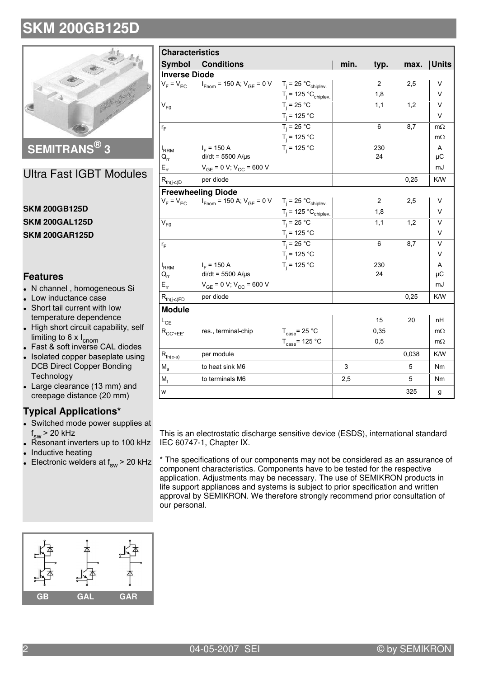

SEMITRANS<sup>®</sup> 3

### **Ultra Fast IGBT Modules**

#### **SKM 200GB125D SKM 200GAL125D SKM 200GAR125D**

#### **Features**

- N channel, homogeneous Si
- Low inductance case
- Short tail current with low temperature dependence
- High short circuit capability, self limiting to 6 x  $I_{\text{cnom}}$ <br>• Fast & soft inverse CAL diodes
- 
- Isolated copper baseplate using **DCB Direct Copper Bonding** Technology
- Large clearance (13 mm) and creepage distance (20 mm)

### **Typical Applications\***

- Switched mode power supplies at  $f_{sw}$  > 20 kHz
- Resonant inverters up to 100 kHz Inductive heating
- Electronic welders at  $f_{sw}$  > 20 kHz

| <b>Characteristics</b>                                    |                                                                                              |                                            |      |      |       |                         |
|-----------------------------------------------------------|----------------------------------------------------------------------------------------------|--------------------------------------------|------|------|-------|-------------------------|
|                                                           | <b>Symbol Conditions</b>                                                                     |                                            | min. | typ. | max.  | <b>Units</b>            |
| <b>Inverse Diode</b>                                      |                                                                                              |                                            |      |      |       |                         |
|                                                           | $V_F = V_{EC}$   $I_{Fnom}$ = 150 A; $V_{GE}$ = 0 V $T_j$ = 25 °C <sub>chiplev</sub> .       |                                            |      | 2    | 2,5   | V                       |
|                                                           |                                                                                              | $T_j = 125 °C_{chiplev.}$                  |      | 1,8  |       | V                       |
| $V_{F0}$                                                  |                                                                                              | $\frac{1}{T_j}$ = 25 °C                    |      | 1,1  | 1,2   | $\overline{\mathsf{v}}$ |
|                                                           |                                                                                              | $T_j = 125 °C$<br>$T_j = 25 °C$            |      |      |       | V                       |
| $r_F$                                                     |                                                                                              |                                            |      | 6    | 8,7   | $m\Omega$               |
|                                                           |                                                                                              | $T_j = 125 °C$                             |      |      |       | $m\Omega$               |
| $I_{RRM}$                                                 | $I_F$ = 150 A                                                                                | $T_i = 125 °C$                             |      | 230  |       | A                       |
| $Q_{rr}$                                                  | $di/dt = 5500$ A/ $\mu$ s                                                                    |                                            |      | 24   |       | μC                      |
| $E_{rr}$                                                  | $V_{GE}$ = 0 V; $V_{CC}$ = 600 V                                                             |                                            |      |      |       | mJ                      |
| $\mathsf{R}_{\mathsf{th}(j\text{-}\mathsf{c})\mathsf{D}}$ | per diode                                                                                    |                                            |      |      | 0,25  | K/W                     |
|                                                           | <b>Freewheeling Diode</b>                                                                    |                                            |      |      |       |                         |
| $V_F = V_{EC}$                                            | $I_{\text{From}}$ = 150 A; $V_{\text{GE}}$ = 0 V T <sub>j</sub> = 25 °C <sub>chiplev</sub> . |                                            |      | 2    | 2,5   | V                       |
|                                                           |                                                                                              | $T_j = 125 °C_{chiplev.}$<br>$T_j = 25 °C$ |      | 1,8  |       | V                       |
| $V_{F0}$                                                  |                                                                                              |                                            |      | 1,1  | 1,2   | $\vee$                  |
|                                                           |                                                                                              | $T_j = 125 °C$                             |      |      |       | V                       |
| $r_F$                                                     |                                                                                              | $T_i = 25 °C$                              |      | 6    | 8,7   | $\vee$                  |
|                                                           |                                                                                              | $T_j = 125 °C$<br>$T_j = 125 °C$           |      |      |       | $\vee$                  |
| $I_{RRM}$                                                 | $I_F$ = 150 A                                                                                |                                            |      | 230  |       | A                       |
| $Q_{rr}$                                                  | $di/dt = 5500$ A/ $\mu$ s                                                                    |                                            |      | 24   |       | μC                      |
| $E_{rr}$                                                  | $V_{GE}$ = 0 V; $V_{CC}$ = 600 V                                                             |                                            |      |      |       | mJ                      |
| $R_{th(j-c)FD}$                                           | per diode                                                                                    |                                            |      |      | 0,25  | K/W                     |
| <b>Module</b>                                             |                                                                                              |                                            |      |      |       |                         |
| $L_{CE}$                                                  |                                                                                              |                                            |      | 15   | 20    | nН                      |
| $R_{CC'+EE'}$                                             | res., terminal-chip                                                                          | $T_{\text{case}} = 25 \text{ °C}$          |      | 0,35 |       | $m\Omega$               |
|                                                           |                                                                                              | $T_{\text{case}}$ = 125 °C                 |      | 0,5  |       | $m\Omega$               |
| $R_{th(c-s)}$                                             | per module                                                                                   |                                            |      |      | 0,038 | K/W                     |
| $M_s$                                                     | to heat sink M6                                                                              |                                            | 3    |      | 5     | Nm                      |
| $M_{t}$                                                   | to terminals M6                                                                              |                                            | 2,5  |      | 5     | N <sub>m</sub>          |
| W                                                         |                                                                                              |                                            |      |      | 325   | g                       |

This is an electrostatic discharge sensitive device (ESDS), international standard IEC 60747-1, Chapter IX.

\* The specifications of our components may not be considered as an assurance of component characteristics. Components have to be tested for the respective application. Adjustments may be necessary. The use of SEMIKRON products in life support appliances and systems is subject to prior specification and written approval by SEMIKRON. We therefore strongly recommend prior consultation of our personal.

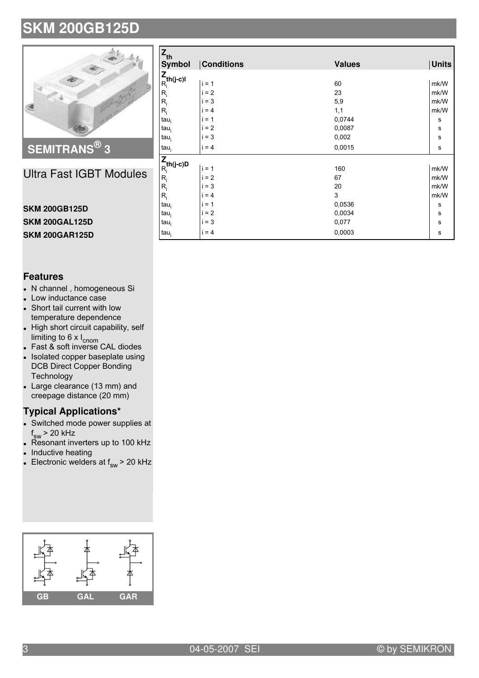

Ultra Fast IGBT Modules

#### **SKM 200GB125D SKM 200GAL125D SKM 200GAR125D**

| <b>Features</b> |
|-----------------|
|-----------------|

- N channel, homogeneous Si
- Low inductance case
- Short tail current with low temperature dependence
- High short circuit capability, self limiting to 6 x I<sub>cnom</sub>
- Fast & soft inverse CAL diodes
- $\overline{\phantom{a}}$ Isolated copper baseplate using DCB Direct Copper Bonding Technology
- Large clearance (13 mm) and creepage distance (20 mm)

#### **Typical Applications\***

- Switched mode power supplies at f<sub>sw</sub> > 20 kHz
- Resonant inverters up to 100 kHz
- $\bullet$ Inductive heating
- $\bullet~$  Electronic welders at  $\mathsf{f}_{_{\mathrm{SW}}}$  > 20 kHz



| $Z_{\text{th}}$          |                   |               |              |  |  |  |  |
|--------------------------|-------------------|---------------|--------------|--|--|--|--|
| <b>Symbol</b>            | <b>Conditions</b> | <b>Values</b> | <b>Units</b> |  |  |  |  |
|                          |                   |               |              |  |  |  |  |
| $\frac{Z}{R_i}$ th(j-c)l | $i = 1$           | 60            | mk/W         |  |  |  |  |
| $R_i$                    | $= 2$             | 23            | mk/W         |  |  |  |  |
| $R_i$                    | $= 3$             | 5,9           | mk/W         |  |  |  |  |
| $R_i$                    | $= 4$             | 1,1           | mk/W         |  |  |  |  |
| $tau_i$                  | $= 1$             | 0,0744        | s            |  |  |  |  |
| $tau_i$                  | $= 2$             | 0,0087        | ${\sf s}$    |  |  |  |  |
| $tau_i$                  | $= 3$             | 0,002         | s            |  |  |  |  |
| $tau_i$                  | $i = 4$           | 0,0015        | s            |  |  |  |  |
| $\frac{Z}{R_i}$ th(j-c)D |                   |               |              |  |  |  |  |
|                          | $i = 1$           | 160           | mk/W         |  |  |  |  |
| $R_i$                    | $i = 2$           | 67            | mk/W         |  |  |  |  |
| $R_i$                    | $i = 3$           | 20            | mk/W         |  |  |  |  |
| $R_i$                    | $= 4$             | 3             | mk/W         |  |  |  |  |
| $tau_i$                  | $= 1$             | 0,0536        | s            |  |  |  |  |
| $tau_i$                  | $= 2$             | 0,0034        | s            |  |  |  |  |
| $tau_i$                  | $= 3$             | 0,077         | $\mathbf s$  |  |  |  |  |
| $tau_i$                  | $i = 4$           | 0,0003        | $\mathbf s$  |  |  |  |  |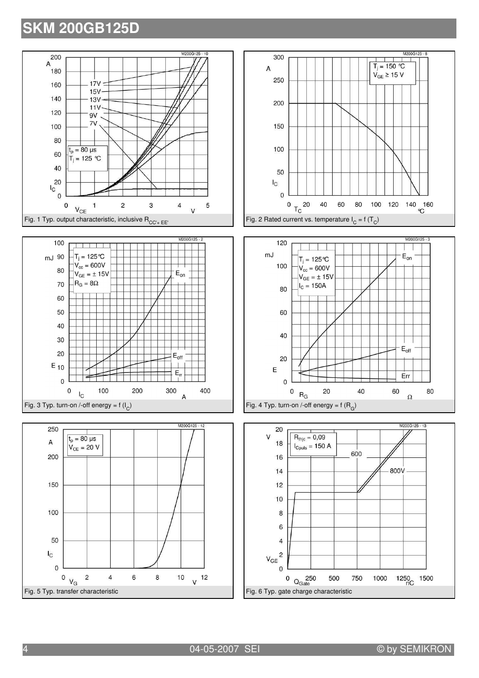









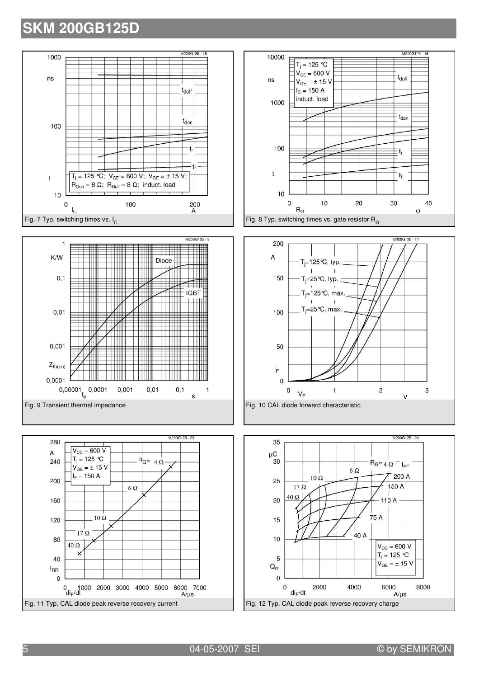